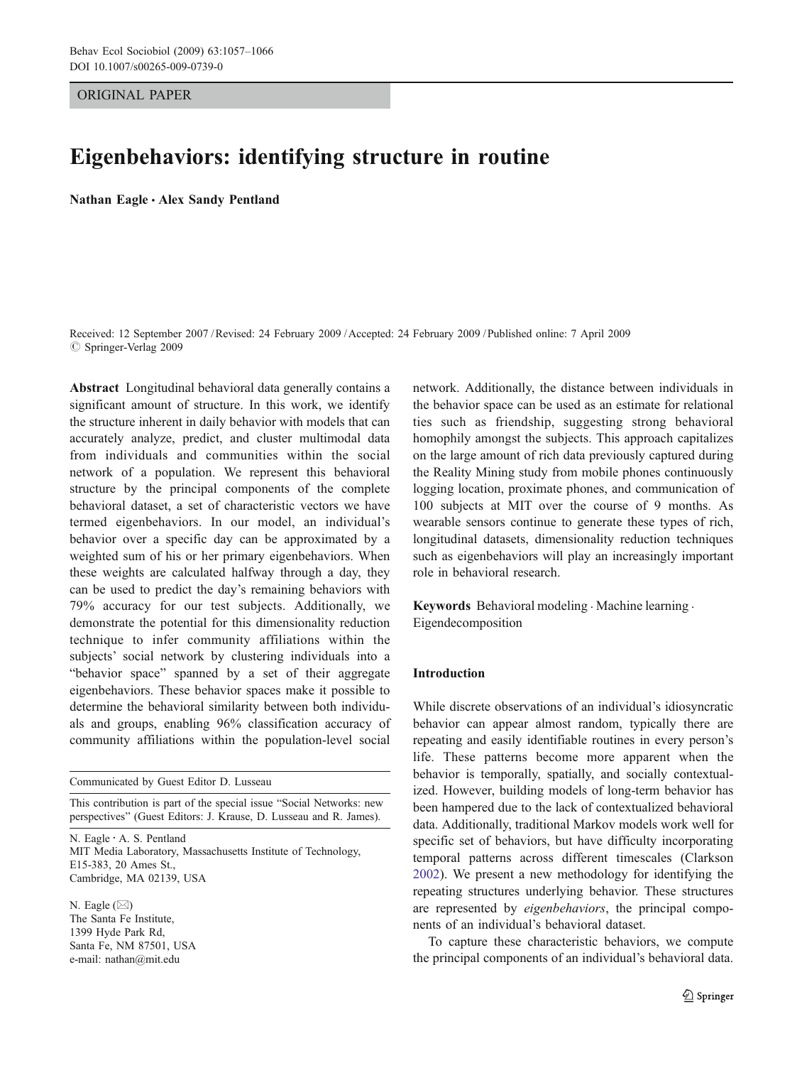ORIGINAL PAPER

# Eigenbehaviors: identifying structure in routine

Nathan Eagle *&* Alex Sandy Pentland

Received: 12 September 2007 /Revised: 24 February 2009 /Accepted: 24 February 2009 / Published online: 7 April 2009  $\circ$  Springer-Verlag 2009

Abstract Longitudinal behavioral data generally contains a significant amount of structure. In this work, we identify the structure inherent in daily behavior with models that can accurately analyze, predict, and cluster multimodal data from individuals and communities within the social network of a population. We represent this behavioral structure by the principal components of the complete behavioral dataset, a set of characteristic vectors we have termed eigenbehaviors. In our model, an individual's behavior over a specific day can be approximated by a weighted sum of his or her primary eigenbehaviors. When these weights are calculated halfway through a day, they can be used to predict the day's remaining behaviors with 79% accuracy for our test subjects. Additionally, we demonstrate the potential for this dimensionality reduction technique to infer community affiliations within the subjects' social network by clustering individuals into a "behavior space" spanned by a set of their aggregate eigenbehaviors. These behavior spaces make it possible to determine the behavioral similarity between both individuals and groups, enabling 96% classification accuracy of community affiliations within the population-level social

Communicated by Guest Editor D. Lusseau

This contribution is part of the special issue "Social Networks: new perspectives" (Guest Editors: J. Krause, D. Lusseau and R. James).

N. Eagle : A. S. Pentland MIT Media Laboratory, Massachusetts Institute of Technology, E15-383, 20 Ames St., Cambridge, MA 02139, USA

N. Eagle (*\**) The Santa Fe Institute, 1399 Hyde Park Rd, Santa Fe, NM 87501, USA e-mail: nathan@mit.edu

network. Additionally, the distance between individuals in the behavior space can be used as an estimate for relational ties such as friendship, suggesting strong behavioral homophily amongst the subjects. This approach capitalizes on the large amount of rich data previously captured during the Reality Mining study from mobile phones continuously logging location, proximate phones, and communication of 100 subjects at MIT over the course of 9 months. As wearable sensors continue to generate these types of rich, longitudinal datasets, dimensionality reduction techniques such as eigenbehaviors will play an increasingly important role in behavioral research.

Keywords Behavioral modeling . Machine learning . Eigendecomposition

## Introduction

While discrete observations of an individual's idiosyncratic behavior can appear almost random, typically there are repeating and easily identifiable routines in every person's life. These patterns become more apparent when the behavior is temporally, spatially, and socially contextualized. However, building models of long-term behavior has been hampered due to the lack of contextualized behavioral data. Additionally, traditional Markov models work well for specific set of behaviors, but have difficulty incorporating temporal patterns across different timescales (Clarkson [2002\)](#page-9-0). We present a new methodology for identifying the repeating structures underlying behavior. These structures are represented by eigenbehaviors, the principal components of an individual's behavioral dataset.

To capture these characteristic behaviors, we compute the principal components of an individual's behavioral data.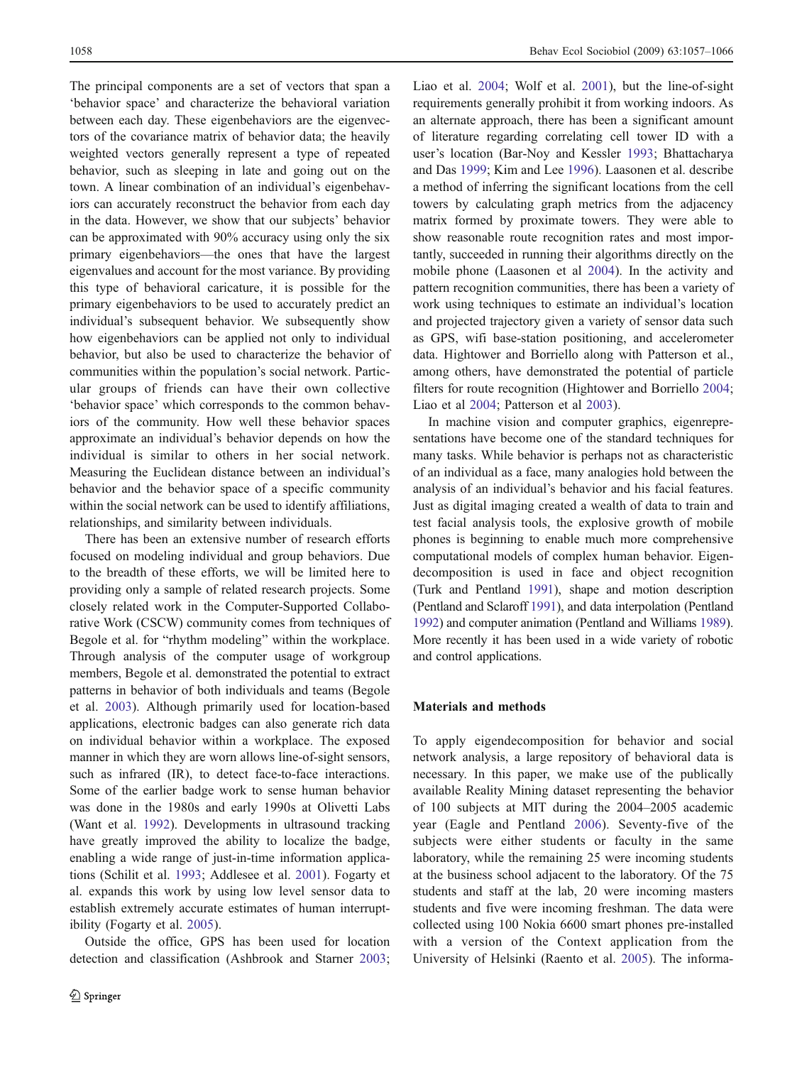<span id="page-1-0"></span>The principal components are a set of vectors that span a 'behavior space' and characterize the behavioral variation between each day. These eigenbehaviors are the eigenvectors of the covariance matrix of behavior data; the heavily weighted vectors generally represent a type of repeated behavior, such as sleeping in late and going out on the town. A linear combination of an individual's eigenbehaviors can accurately reconstruct the behavior from each day in the data. However, we show that our subjects' behavior can be approximated with 90% accuracy using only the six primary eigenbehaviors—the ones that have the largest eigenvalues and account for the most variance. By providing this type of behavioral caricature, it is possible for the primary eigenbehaviors to be used to accurately predict an individual's subsequent behavior. We subsequently show how eigenbehaviors can be applied not only to individual behavior, but also be used to characterize the behavior of communities within the population's social network. Particular groups of friends can have their own collective 'behavior space' which corresponds to the common behaviors of the community. How well these behavior spaces approximate an individual's behavior depends on how the individual is similar to others in her social network. Measuring the Euclidean distance between an individual's behavior and the behavior space of a specific community within the social network can be used to identify affiliations, relationships, and similarity between individuals.

There has been an extensive number of research efforts focused on modeling individual and group behaviors. Due to the breadth of these efforts, we will be limited here to providing only a sample of related research projects. Some closely related work in the Computer-Supported Collaborative Work (CSCW) community comes from techniques of Begole et al. for "rhythm modeling" within the workplace. Through analysis of the computer usage of workgroup members, Begole et al. demonstrated the potential to extract patterns in behavior of both individuals and teams (Begole et al. [2003](#page-9-0)). Although primarily used for location-based applications, electronic badges can also generate rich data on individual behavior within a workplace. The exposed manner in which they are worn allows line-of-sight sensors, such as infrared (IR), to detect face-to-face interactions. Some of the earlier badge work to sense human behavior was done in the 1980s and early 1990s at Olivetti Labs (Want et al. [1992](#page-9-0)). Developments in ultrasound tracking have greatly improved the ability to localize the badge, enabling a wide range of just-in-time information applications (Schilit et al. [1993;](#page-9-0) Addlesee et al. [2001](#page-9-0)). Fogarty et al. expands this work by using low level sensor data to establish extremely accurate estimates of human interruptibility (Fogarty et al. [2005\)](#page-9-0).

Outside the office, GPS has been used for location detection and classification (Ashbrook and Starner [2003](#page-9-0); Liao et al. [2004](#page-9-0); Wolf et al. [2001](#page-9-0)), but the line-of-sight requirements generally prohibit it from working indoors. As an alternate approach, there has been a significant amount of literature regarding correlating cell tower ID with a user's location (Bar-Noy and Kessler [1993;](#page-9-0) Bhattacharya and Das [1999;](#page-9-0) Kim and Lee [1996](#page-9-0)). Laasonen et al. describe a method of inferring the significant locations from the cell towers by calculating graph metrics from the adjacency matrix formed by proximate towers. They were able to show reasonable route recognition rates and most importantly, succeeded in running their algorithms directly on the mobile phone (Laasonen et al [2004\)](#page-9-0). In the activity and pattern recognition communities, there has been a variety of work using techniques to estimate an individual's location and projected trajectory given a variety of sensor data such as GPS, wifi base-station positioning, and accelerometer data. Hightower and Borriello along with Patterson et al., among others, have demonstrated the potential of particle filters for route recognition (Hightower and Borriello [2004](#page-9-0); Liao et al [2004;](#page-9-0) Patterson et al [2003](#page-9-0)).

In machine vision and computer graphics, eigenrepresentations have become one of the standard techniques for many tasks. While behavior is perhaps not as characteristic of an individual as a face, many analogies hold between the analysis of an individual's behavior and his facial features. Just as digital imaging created a wealth of data to train and test facial analysis tools, the explosive growth of mobile phones is beginning to enable much more comprehensive computational models of complex human behavior. Eigendecomposition is used in face and object recognition (Turk and Pentland [1991\)](#page-9-0), shape and motion description (Pentland and Sclaroff [1991](#page-9-0)), and data interpolation (Pentland [1992](#page-9-0)) and computer animation (Pentland and Williams [1989](#page-9-0)). More recently it has been used in a wide variety of robotic and control applications.

## Materials and methods

To apply eigendecomposition for behavior and social network analysis, a large repository of behavioral data is necessary. In this paper, we make use of the publically available Reality Mining dataset representing the behavior of 100 subjects at MIT during the 2004–2005 academic year (Eagle and Pentland [2006](#page-9-0)). Seventy-five of the subjects were either students or faculty in the same laboratory, while the remaining 25 were incoming students at the business school adjacent to the laboratory. Of the 75 students and staff at the lab, 20 were incoming masters students and five were incoming freshman. The data were collected using 100 Nokia 6600 smart phones pre-installed with a version of the Context application from the University of Helsinki (Raento et al. [2005\)](#page-9-0). The informa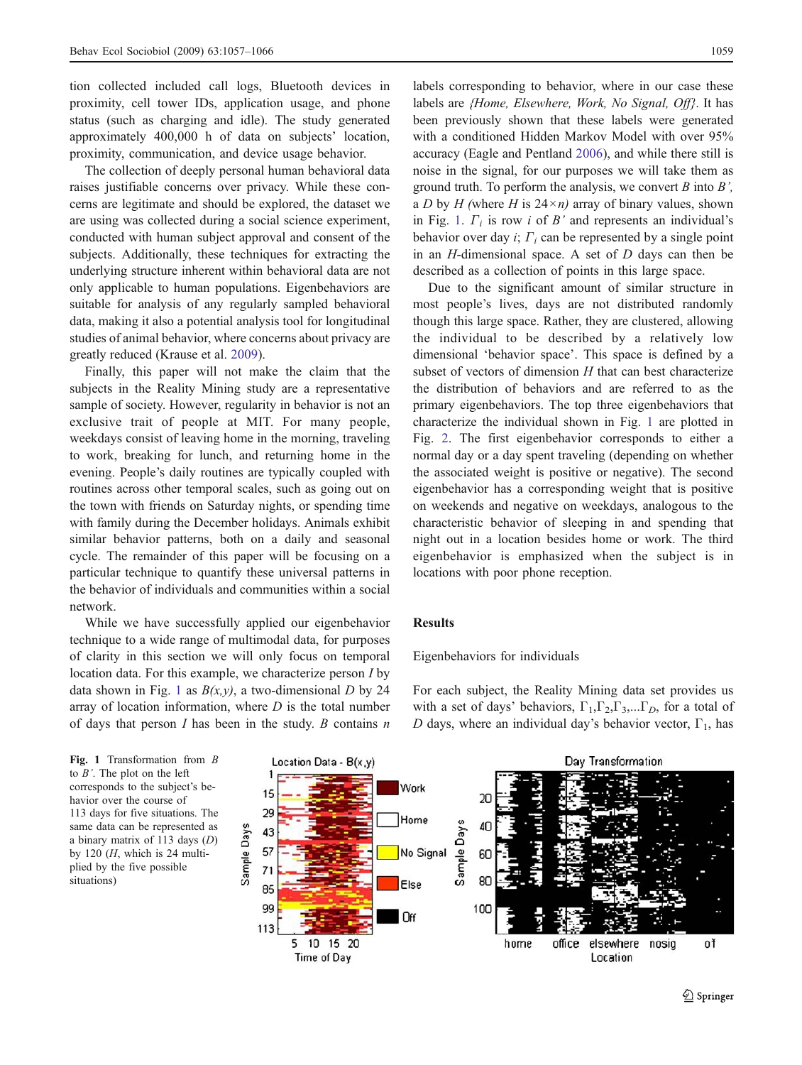tion collected included call logs, Bluetooth devices in proximity, cell tower IDs, application usage, and phone status (such as charging and idle). The study generated approximately 400,000 h of data on subjects' location, proximity, communication, and device usage behavior.

The collection of deeply personal human behavioral data raises justifiable concerns over privacy. While these concerns are legitimate and should be explored, the dataset we are using was collected during a social science experiment, conducted with human subject approval and consent of the subjects. Additionally, these techniques for extracting the underlying structure inherent within behavioral data are not only applicable to human populations. Eigenbehaviors are suitable for analysis of any regularly sampled behavioral data, making it also a potential analysis tool for longitudinal studies of animal behavior, where concerns about privacy are greatly reduced (Krause et al. [2009\)](#page-9-0).

Finally, this paper will not make the claim that the subjects in the Reality Mining study are a representative sample of society. However, regularity in behavior is not an exclusive trait of people at MIT. For many people, weekdays consist of leaving home in the morning, traveling to work, breaking for lunch, and returning home in the evening. People's daily routines are typically coupled with routines across other temporal scales, such as going out on the town with friends on Saturday nights, or spending time with family during the December holidays. Animals exhibit similar behavior patterns, both on a daily and seasonal cycle. The remainder of this paper will be focusing on a particular technique to quantify these universal patterns in the behavior of individuals and communities within a social network.

While we have successfully applied our eigenbehavior technique to a wide range of multimodal data, for purposes of clarity in this section we will only focus on temporal location data. For this example, we characterize person I by data shown in Fig. 1 as  $B(x, y)$ , a two-dimensional D by 24 array of location information, where  $D$  is the total number of days that person  $I$  has been in the study.  $B$  contains  $n$ 

labels corresponding to behavior, where in our case these labels are {Home, Elsewhere, Work, No Signal, Off}. It has been previously shown that these labels were generated with a conditioned Hidden Markov Model with over 95% accuracy (Eagle and Pentland [2006\)](#page-9-0), and while there still is noise in the signal, for our purposes we will take them as ground truth. To perform the analysis, we convert  $B$  into  $B'$ , a D by H (where H is  $24 \times n$ ) array of binary values, shown in Fig. 1.  $\Gamma_i$  is row i of B' and represents an individual's behavior over day *i*;  $\Gamma_i$  can be represented by a single point in an  $H$ -dimensional space. A set of  $D$  days can then be described as a collection of points in this large space.

Due to the significant amount of similar structure in most people's lives, days are not distributed randomly though this large space. Rather, they are clustered, allowing the individual to be described by a relatively low dimensional 'behavior space'. This space is defined by a subset of vectors of dimension  $H$  that can best characterize the distribution of behaviors and are referred to as the primary eigenbehaviors. The top three eigenbehaviors that characterize the individual shown in Fig. 1 are plotted in Fig. [2](#page-3-0). The first eigenbehavior corresponds to either a normal day or a day spent traveling (depending on whether the associated weight is positive or negative). The second eigenbehavior has a corresponding weight that is positive on weekends and negative on weekdays, analogous to the characteristic behavior of sleeping in and spending that night out in a location besides home or work. The third eigenbehavior is emphasized when the subject is in locations with poor phone reception.

# Results

#### Eigenbehaviors for individuals

Fig. 1 Transformation from B to  $B'$ . The plot on the left corresponds to the subject's behavior over the course of 113 days for five situations. The same data can be represented as a binary matrix of 113 days (D) by 120  $(H,$  which is 24 multiplied by the five possible situations)

For each subject, the Reality Mining data set provides us with a set of days' behaviors,  $\Gamma_1, \Gamma_2, \Gamma_3, \dots, \Gamma_D$ , for a total of D days, where an individual day's behavior vector,  $\Gamma_1$ , has

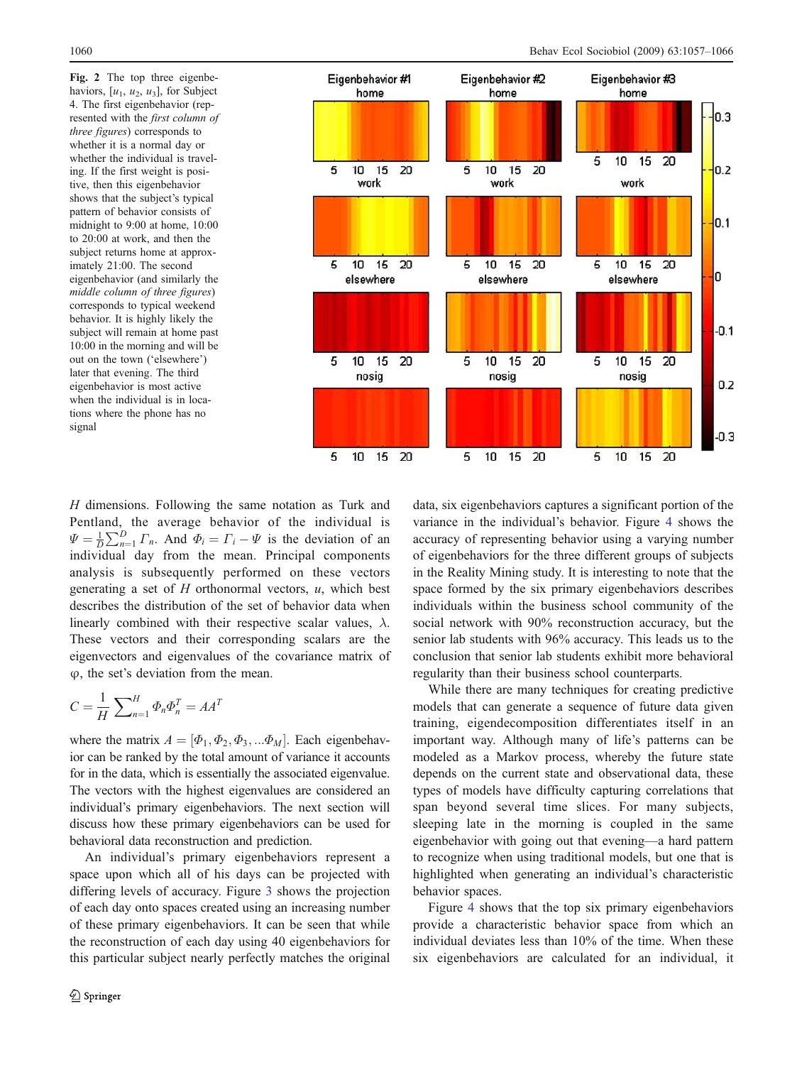<span id="page-3-0"></span>Fig. 2 The top three eigenbehaviors,  $[u_1, u_2, u_3]$ , for Subject 4. The first eigenbehavior (represented with the first column of three figures) corresponds to whether it is a normal day or whether the individual is traveling. If the first weight is positive, then this eigenbehavior shows that the subject's typical pattern of behavior consists of midnight to 9:00 at home, 10:00 to 20:00 at work, and then the subject returns home at approximately 21:00. The second eigenbehavior (and similarly the middle column of three figures) corresponds to typical weekend behavior. It is highly likely the subject will remain at home past 10:00 in the morning and will be out on the town ('elsewhere') later that evening. The third eigenbehavior is most active when the individual is in locations where the phone has no signal



 $H$  dimensions. Following the same notation as Turk and Pentland, the average behavior of the individual is  $\Psi = \frac{1}{D} \sum_{n=1}^{D} \Gamma_n$ . And  $\Phi_i = \Gamma_i - \Psi$  is the deviation of an individual day from the mean. Principal components analysis is subsequently performed on these vectors generating a set of  $H$  orthonormal vectors,  $u$ , which best describes the distribution of the set of behavior data when linearly combined with their respective scalar values,  $\lambda$ . These vectors and their corresponding scalars are the eigenvectors and eigenvalues of the covariance matrix of  $\varphi$ , the set's deviation from the mean.

$$
C = \frac{1}{H} \sum_{n=1}^{H} \Phi_n \Phi_n^T = AA^T
$$

where the matrix  $A = [\Phi_1, \Phi_2, \Phi_3, ... \Phi_M]$ . Each eigenbehavior can be ranked by the total amount of variance it accounts for in the data, which is essentially the associated eigenvalue. The vectors with the highest eigenvalues are considered an individual's primary eigenbehaviors. The next section will discuss how these primary eigenbehaviors can be used for behavioral data reconstruction and prediction.

An individual's primary eigenbehaviors represent a space upon which all of his days can be projected with differing levels of accuracy. Figure [3](#page-4-0) shows the projection of each day onto spaces created using an increasing number of these primary eigenbehaviors. It can be seen that while the reconstruction of each day using 40 eigenbehaviors for this particular subject nearly perfectly matches the original

data, six eigenbehaviors captures a significant portion of the variance in the individual's behavior. Figure [4](#page-4-0) shows the accuracy of representing behavior using a varying number of eigenbehaviors for the three different groups of subjects in the Reality Mining study. It is interesting to note that the space formed by the six primary eigenbehaviors describes individuals within the business school community of the social network with 90% reconstruction accuracy, but the senior lab students with 96% accuracy. This leads us to the conclusion that senior lab students exhibit more behavioral regularity than their business school counterparts.

While there are many techniques for creating predictive models that can generate a sequence of future data given training, eigendecomposition differentiates itself in an important way. Although many of life's patterns can be modeled as a Markov process, whereby the future state depends on the current state and observational data, these types of models have difficulty capturing correlations that span beyond several time slices. For many subjects, sleeping late in the morning is coupled in the same eigenbehavior with going out that evening—a hard pattern to recognize when using traditional models, but one that is highlighted when generating an individual's characteristic behavior spaces.

Figure [4](#page-4-0) shows that the top six primary eigenbehaviors provide a characteristic behavior space from which an individual deviates less than 10% of the time. When these six eigenbehaviors are calculated for an individual, it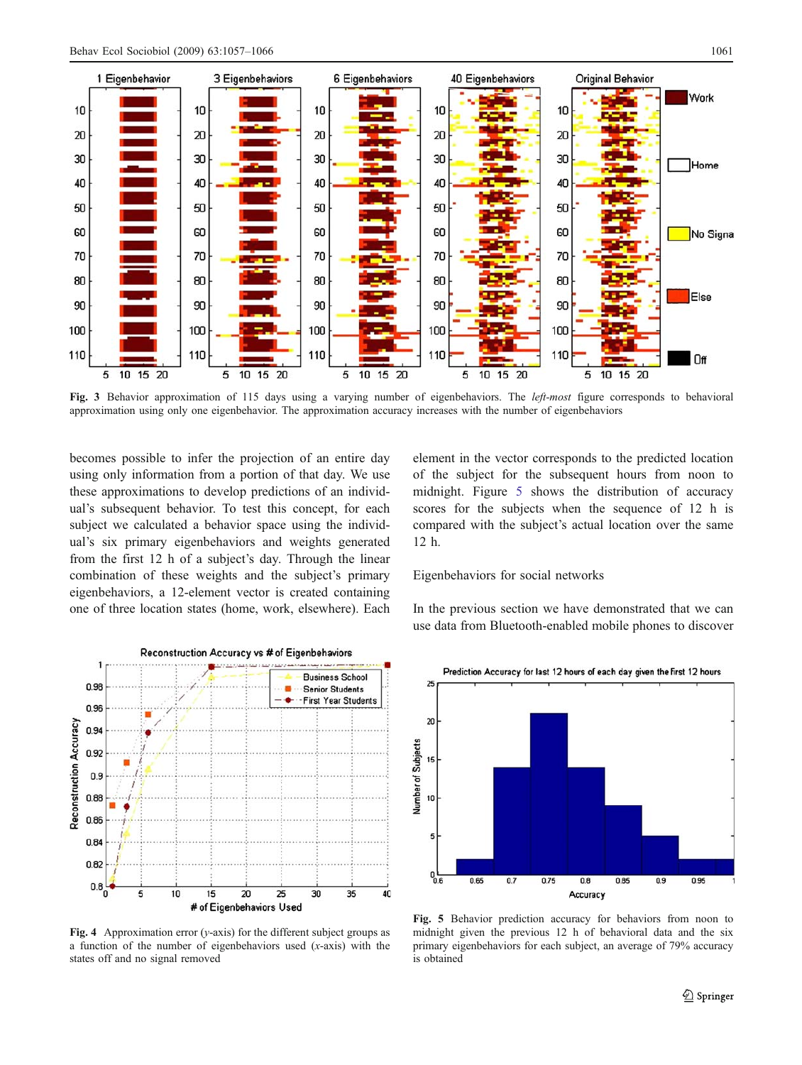<span id="page-4-0"></span>

Fig. 3 Behavior approximation of 115 days using a varying number of eigenbehaviors. The left-most figure corresponds to behavioral approximation using only one eigenbehavior. The approximation accuracy increases with the number of eigenbehaviors

becomes possible to infer the projection of an entire day using only information from a portion of that day. We use these approximations to develop predictions of an individual's subsequent behavior. To test this concept, for each subject we calculated a behavior space using the individual's six primary eigenbehaviors and weights generated from the first 12 h of a subject's day. Through the linear combination of these weights and the subject's primary eigenbehaviors, a 12-element vector is created containing one of three location states (home, work, elsewhere). Each



Fig. 4 Approximation error ( $y$ -axis) for the different subject groups as a function of the number of eigenbehaviors used  $(x-axis)$  with the states off and no signal removed

element in the vector corresponds to the predicted location of the subject for the subsequent hours from noon to midnight. Figure 5 shows the distribution of accuracy scores for the subjects when the sequence of 12 h is compared with the subject's actual location over the same 12 h.

Eigenbehaviors for social networks

In the previous section we have demonstrated that we can use data from Bluetooth-enabled mobile phones to discover



Fig. 5 Behavior prediction accuracy for behaviors from noon to midnight given the previous 12 h of behavioral data and the six primary eigenbehaviors for each subject, an average of 79% accuracy is obtained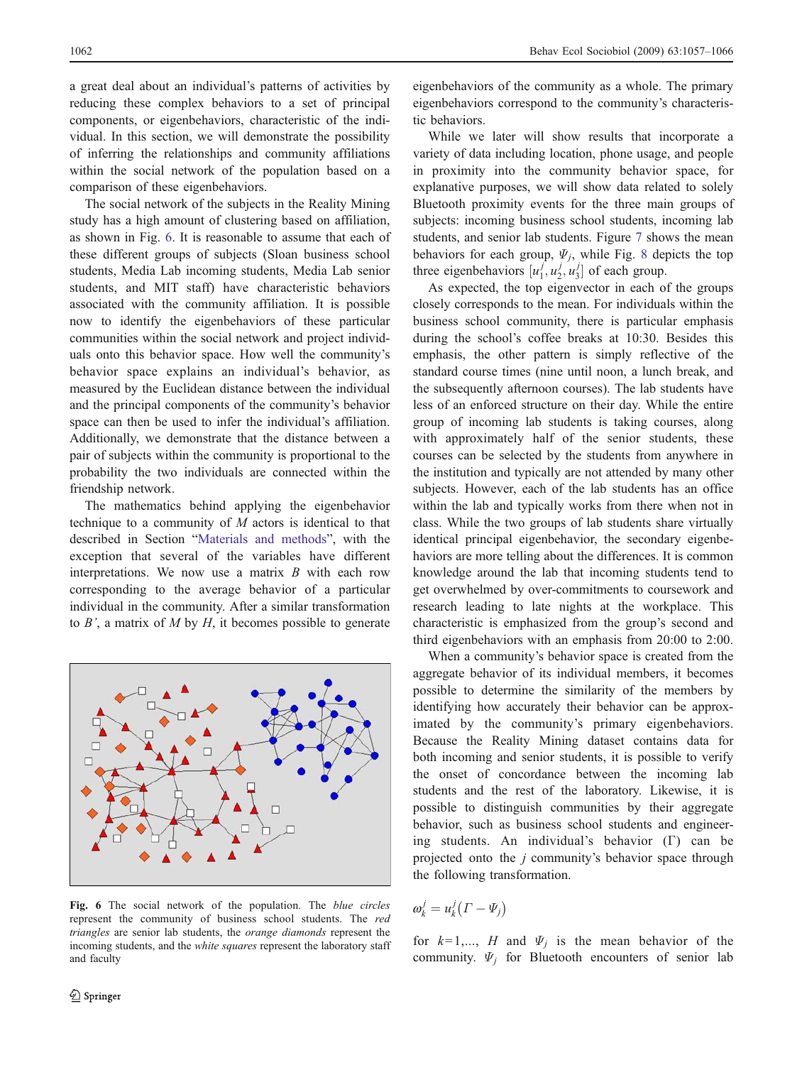a great deal about an individual's patterns of activities by reducing these complex behaviors to a set of principal components, or eigenbehaviors, characteristic of the individual. In this section, we will demonstrate the possibility of inferring the relationships and community affiliations within the social network of the population based on a comparison of these eigenbehaviors.

The social network of the subjects in the Reality Mining study has a high amount of clustering based on affiliation, as shown in Fig. 6. It is reasonable to assume that each of these different groups of subjects (Sloan business school students, Media Lab incoming students, Media Lab senior students, and MIT staff) have characteristic behaviors associated with the community affiliation. It is possible now to identify the eigenbehaviors of these particular communities within the social network and project individuals onto this behavior space. How well the community's behavior space explains an individual's behavior, as measured by the Euclidean distance between the individual and the principal components of the community's behavior space can then be used to infer the individual's affiliation. Additionally, we demonstrate that the distance between a pair of subjects within the community is proportional to the probability the two individuals are connected within the friendship network.

The mathematics behind applying the eigenbehavior technique to a community of  $M$  actors is identical to that described in Section "[Materials and methods](#page-1-0)", with the exception that several of the variables have different interpretations. We now use a matrix  $B$  with each row corresponding to the average behavior of a particular individual in the community. After a similar transformation to  $B'$ , a matrix of  $M$  by  $H$ , it becomes possible to generate



Fig. 6 The social network of the population. The blue circles represent the community of business school students. The red triangles are senior lab students, the orange diamonds represent the incoming students, and the white squares represent the laboratory staff and faculty

eigenbehaviors of the community as a whole. The primary eigenbehaviors correspond to the community's characteristic behaviors.

While we later will show results that incorporate a variety of data including location, phone usage, and people in proximity into the community behavior space, for explanative purposes, we will show data related to solely Bluetooth proximity events for the three main groups of subjects: incoming business school students, incoming lab students, and senior lab students. Figure [7](#page-6-0) shows the mean behaviors for each group,  $\Psi_i$ , while Fig. [8](#page-6-0) depicts the top three eigenbehaviors  $[u_1^j, u_2^j, u_3^j]$  of each group.

As expected, the top eigenvector in each of the groups closely corresponds to the mean. For individuals within the business school community, there is particular emphasis during the school's coffee breaks at 10:30. Besides this emphasis, the other pattern is simply reflective of the standard course times (nine until noon, a lunch break, and the subsequently afternoon courses). The lab students have less of an enforced structure on their day. While the entire group of incoming lab students is taking courses, along with approximately half of the senior students, these courses can be selected by the students from anywhere in the institution and typically are not attended by many other subjects. However, each of the lab students has an office within the lab and typically works from there when not in class. While the two groups of lab students share virtually identical principal eigenbehavior, the secondary eigenbehaviors are more telling about the differences. It is common knowledge around the lab that incoming students tend to get overwhelmed by over-commitments to coursework and research leading to late nights at the workplace. This characteristic is emphasized from the group's second and third eigenbehaviors with an emphasis from 20:00 to 2:00.

When a community's behavior space is created from the aggregate behavior of its individual members, it becomes possible to determine the similarity of the members by identifying how accurately their behavior can be approximated by the community's primary eigenbehaviors. Because the Reality Mining dataset contains data for both incoming and senior students, it is possible to verify the onset of concordance between the incoming lab students and the rest of the laboratory. Likewise, it is possible to distinguish communities by their aggregate behavior, such as business school students and engineering students. An individual's behavior (Γ) can be projected onto the  $j$  community's behavior space through the following transformation.

$$
\omega_k^j = u_k^j(\Gamma - \Psi_j)
$$

for  $k=1,..., H$  and  $\Psi_j$  is the mean behavior of the community.  $\Psi_i$  for Bluetooth encounters of senior lab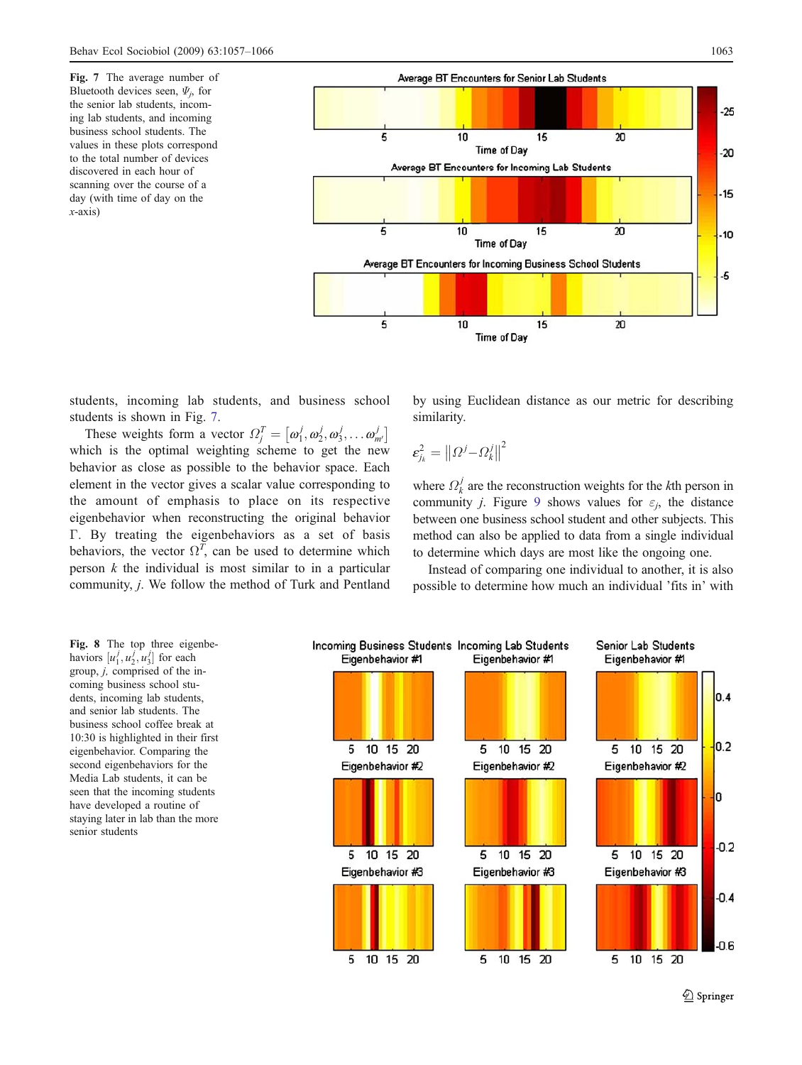<span id="page-6-0"></span>Fig. 7 The average number of Bluetooth devices seen,  $\Psi_i$ , for the senior lab students, incoming lab students, and incoming business school students. The values in these plots correspond to the total number of devices discovered in each hour of scanning over the course of a day (with time of day on the  $x$ -axis)



students, incoming lab students, and business school students is shown in Fig. 7.

These weights form a vector  $\Omega_j^T = [\omega_1^j, \omega_2^j, \omega_3^j, \dots, \omega_{m'}^j]$ which is the optimal weighting scheme to get the new behavior as close as possible to the behavior space. Each element in the vector gives a scalar value corresponding to the amount of emphasis to place on its respective eigenbehavior when reconstructing the original behavior Γ. By treating the eigenbehaviors as a set of basis behaviors, the vector  $\Omega^T$ , can be used to determine which person  $k$  the individual is most similar to in a particular community, j. We follow the method of Turk and Pentland by using Euclidean distance as our metric for describing similarity.

$$
\boldsymbol{\varepsilon}_{j_k}^2 = \left\| \boldsymbol{\varOmega}^j \!-\! \boldsymbol{\varOmega}_k^j \right\|^2
$$

where  $\Omega_k^j$  are the reconstruction weights for the *k*th person in community *j*. Figure [9](#page-7-0) shows values for  $\varepsilon_j$ , the distance between one business school student and other subjects. This method can also be applied to data from a single individual to determine which days are most like the ongoing one.

Instead of comparing one individual to another, it is also possible to determine how much an individual 'fits in' with

Fig. 8 The top three eigenbehaviors  $[u_1^j, u_2^j, u_3^j]$  for each group, j, comprised of the incoming business school students, incoming lab students, and senior lab students. The business school coffee break at 10:30 is highlighted in their first eigenbehavior. Comparing the second eigenbehaviors for the Media Lab students, it can be seen that the incoming students have developed a routine of staying later in lab than the more senior students

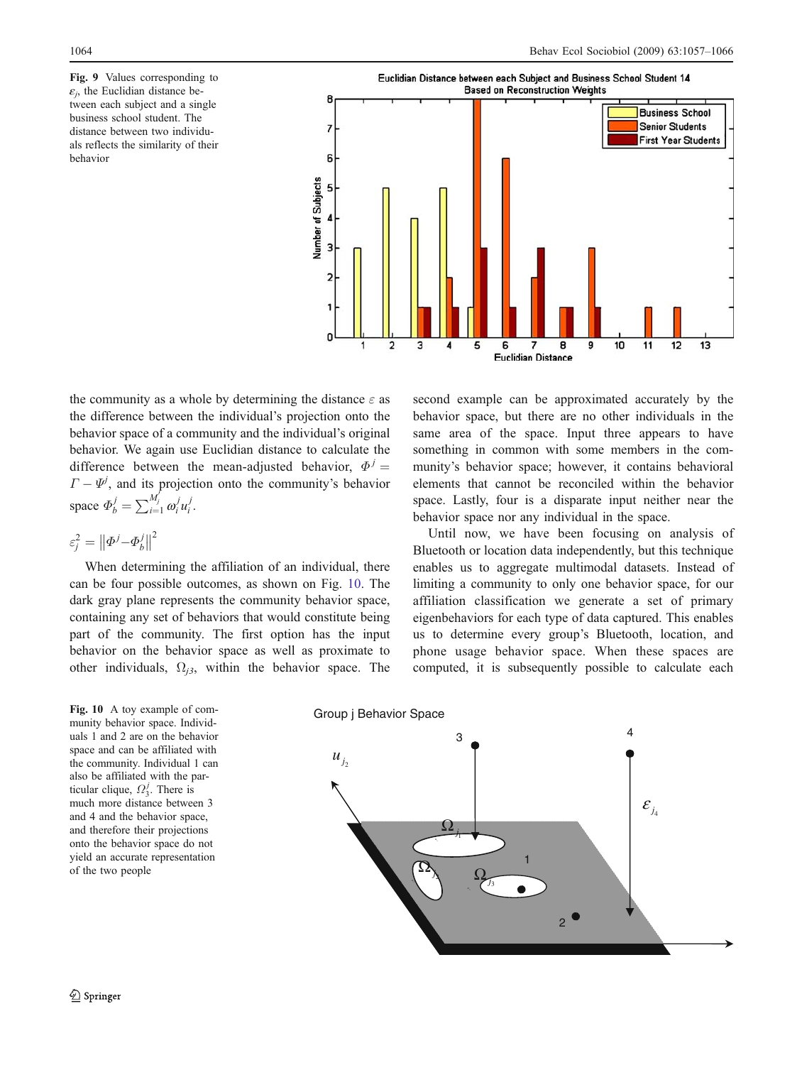<span id="page-7-0"></span>Fig. 9 Values corresponding to  $\varepsilon_i$ , the Euclidian distance between each subject and a single business school student. The distance between two individuals reflects the similarity of their behavior



the community as a whole by determining the distance  $\varepsilon$  as the difference between the individual's projection onto the behavior space of a community and the individual's original behavior. We again use Euclidian distance to calculate the difference between the mean-adjusted behavior,  $\Phi^{j} =$  $\Gamma - \Psi^j$ , and its projection onto the community's behavior space  $\Phi_b^j = \sum_{i=1}^{M'_j} \omega_i^j u_i^j$ .

$$
\varepsilon_j^2 = \left\| \varPhi^j {-} \varPhi_b^j \right\|^2
$$

When determining the affiliation of an individual, there can be four possible outcomes, as shown on Fig. 10. The dark gray plane represents the community behavior space, containing any set of behaviors that would constitute being part of the community. The first option has the input behavior on the behavior space as well as proximate to other individuals,  $\Omega_{i3}$ , within the behavior space. The behavior space, but there are no other individuals in the same area of the space. Input three appears to have something in common with some members in the community's behavior space; however, it contains behavioral elements that cannot be reconciled within the behavior space. Lastly, four is a disparate input neither near the behavior space nor any individual in the space.

second example can be approximated accurately by the

Until now, we have been focusing on analysis of Bluetooth or location data independently, but this technique enables us to aggregate multimodal datasets. Instead of limiting a community to only one behavior space, for our affiliation classification we generate a set of primary eigenbehaviors for each type of data captured. This enables us to determine every group's Bluetooth, location, and phone usage behavior space. When these spaces are computed, it is subsequently possible to calculate each

Fig. 10 A toy example of community behavior space. Individuals 1 and 2 are on the behavior space and can be affiliated with the community. Individual 1 can also be affiliated with the particular clique,  $\Omega_3^j$ . There is much more distance between 3 and 4 and the behavior space, and therefore their projections onto the behavior space do not yield an accurate representation of the two people

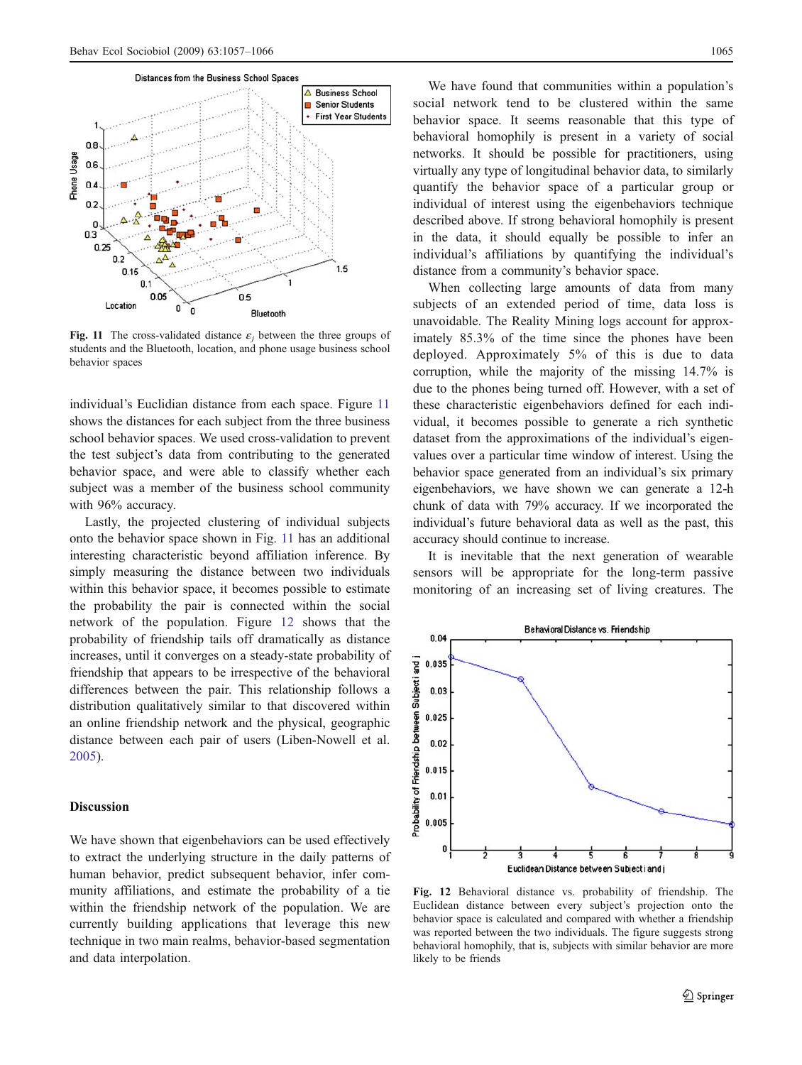

Fig. 11 The cross-validated distance  $\varepsilon_i$  between the three groups of students and the Bluetooth, location, and phone usage business school behavior spaces

individual's Euclidian distance from each space. Figure 11 shows the distances for each subject from the three business school behavior spaces. We used cross-validation to prevent the test subject's data from contributing to the generated behavior space, and were able to classify whether each subject was a member of the business school community with 96% accuracy.

Lastly, the projected clustering of individual subjects onto the behavior space shown in Fig. 11 has an additional interesting characteristic beyond affiliation inference. By simply measuring the distance between two individuals within this behavior space, it becomes possible to estimate the probability the pair is connected within the social network of the population. Figure 12 shows that the probability of friendship tails off dramatically as distance increases, until it converges on a steady-state probability of friendship that appears to be irrespective of the behavioral differences between the pair. This relationship follows a distribution qualitatively similar to that discovered within an online friendship network and the physical, geographic distance between each pair of users (Liben-Nowell et al. [2005\)](#page-9-0).

## **Discussion**

We have shown that eigenbehaviors can be used effectively to extract the underlying structure in the daily patterns of human behavior, predict subsequent behavior, infer community affiliations, and estimate the probability of a tie within the friendship network of the population. We are currently building applications that leverage this new technique in two main realms, behavior-based segmentation and data interpolation.

We have found that communities within a population's social network tend to be clustered within the same behavior space. It seems reasonable that this type of behavioral homophily is present in a variety of social networks. It should be possible for practitioners, using virtually any type of longitudinal behavior data, to similarly quantify the behavior space of a particular group or individual of interest using the eigenbehaviors technique described above. If strong behavioral homophily is present in the data, it should equally be possible to infer an individual's affiliations by quantifying the individual's distance from a community's behavior space.

When collecting large amounts of data from many subjects of an extended period of time, data loss is unavoidable. The Reality Mining logs account for approximately 85.3% of the time since the phones have been deployed. Approximately 5% of this is due to data corruption, while the majority of the missing 14.7% is due to the phones being turned off. However, with a set of these characteristic eigenbehaviors defined for each individual, it becomes possible to generate a rich synthetic dataset from the approximations of the individual's eigenvalues over a particular time window of interest. Using the behavior space generated from an individual's six primary eigenbehaviors, we have shown we can generate a 12-h chunk of data with 79% accuracy. If we incorporated the individual's future behavioral data as well as the past, this accuracy should continue to increase.

It is inevitable that the next generation of wearable sensors will be appropriate for the long-term passive monitoring of an increasing set of living creatures. The



Fig. 12 Behavioral distance vs. probability of friendship. The Euclidean distance between every subject's projection onto the behavior space is calculated and compared with whether a friendship was reported between the two individuals. The figure suggests strong behavioral homophily, that is, subjects with similar behavior are more likely to be friends